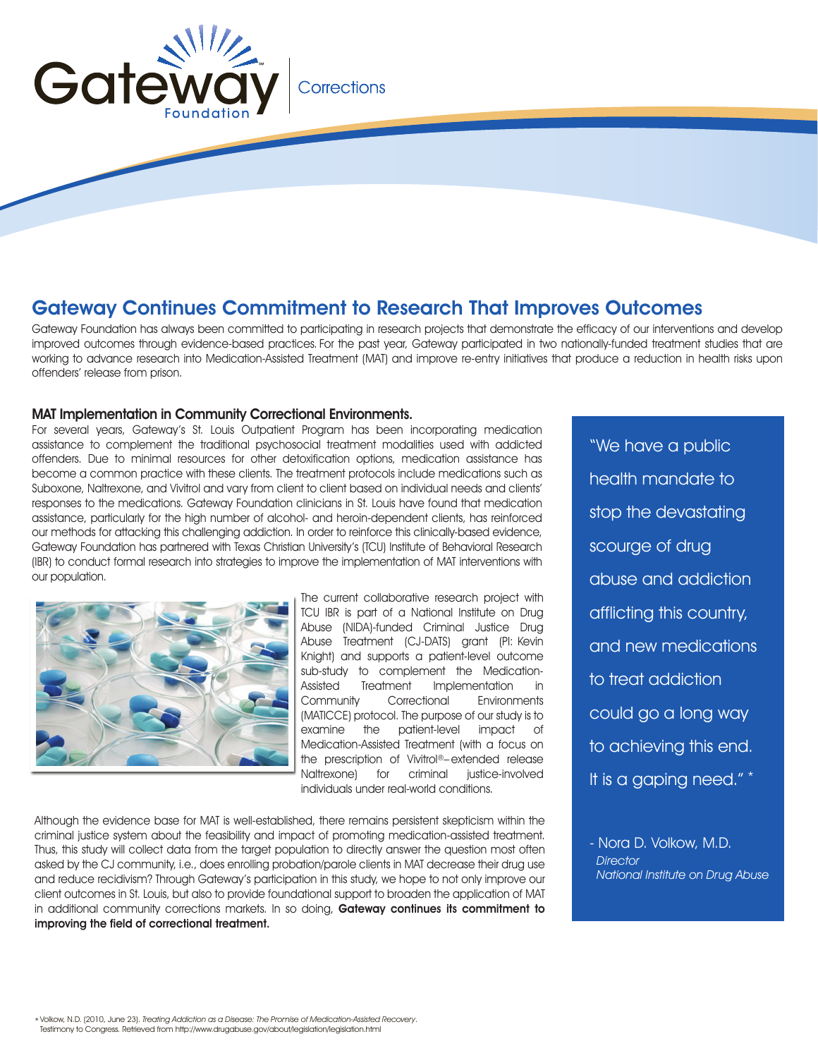

## Corrections

## Gateway Continues Commitment to Research That Improves Outcomes

Gateway Foundation has always been committed to participating in research projects that demonstrate the efficacy of our interventions and develop improved outcomes through evidence-based practices. For the past year, Gateway participated in two nationally-funded treatment studies that are working to advance research into Medication-Assisted Treatment (MAT) and improve re-entry initiatives that produce a reduction in health risks upon offenders' release from prison.

## MAT Implementation in Community Correctional Environments.

For several years, Gateway's St. Louis Outpatient Program has been incorporating medication assistance to complement the traditional psychosocial treatment modalities used with addicted offenders. Due to minimal resources for other detoxification options, medication assistance has become a common practice with these clients. The treatment protocols include medications such as Suboxone, Naltrexone, and Vivitrol and vary from client to client based on individual needs and clients' responses to the medications. Gateway Foundation clinicians in St. Louis have found that medication assistance, particularly for the high number of alcohol- and heroin-dependent clients, has reinforced our methods for attacking this challenging addiction. In order to reinforce this clinically-based evidence, Gateway Foundation has partnered with Texas Christian University's (TCU) Institute of Behavioral Research (IBR) to conduct formal research into strategies to improve the implementation of MAT interventions with our population.



The current collaborative research project with TCU IBR is part of a National Institute on Drug Abuse (NIDA)-funded Criminal Justice Drug Abuse Treatment (CJ-DATS) grant (PI: Kevin Knight) and supports a patient-level outcome sub-study to complement the Medication-Assisted Treatment Implementation in<br>Community Correctional Environments Community Correctional (MATICCE) protocol. The purpose of our study is to examine the patient-level impact of Medication-Assisted Treatment (with a focus on the prescription of Vivitrol®– extended release Naltrexone) for criminal iustice-involved individuals under real-world conditions.

Although the evidence base for MAT is well-established, there remains persistent skepticism within the criminal justice system about the feasibility and impact of promoting medication-assisted treatment. Thus, this study will collect data from the target population to directly answer the question most often asked by the CJ community, i.e., does enrolling probation/parole clients in MAT decrease their drug use and reduce recidivism? Through Gateway's participation in this study, we hope to not only improve our client outcomes in St. Louis, but also to provide foundational support to broaden the application of MAT in additional community corrections markets. In so doing, Gateway continues its commitment to improving the field of correctional treatment.

"We have a public health mandate to stop the devastating scourge of drug abuse and addiction afflicting this country, and new medications to treat addiction could go a long way to achieving this end. It is a gaping need." \*

- Nora D. Volkow, M.D. **Director** National Institute on Drug Abuse